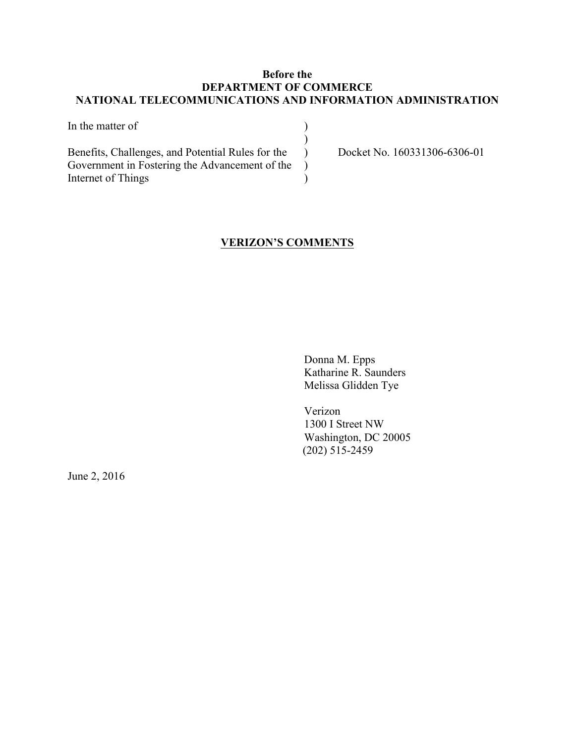## **Before the DEPARTMENT OF COMMERCE NATIONAL TELECOMMUNICATIONS AND INFORMATION ADMINISTRATION**

| In the matter of                                  |  |
|---------------------------------------------------|--|
|                                                   |  |
| Benefits, Challenges, and Potential Rules for the |  |
| Government in Fostering the Advancement of the    |  |
| Internet of Things                                |  |

Docket No. 160331306-6306-01

## **VERIZON'S COMMENTS**

Donna M. Epps Katharine R. Saunders Melissa Glidden Tye

Verizon 1300 I Street NW Washington, DC 20005 (202) 515-2459

June 2, 2016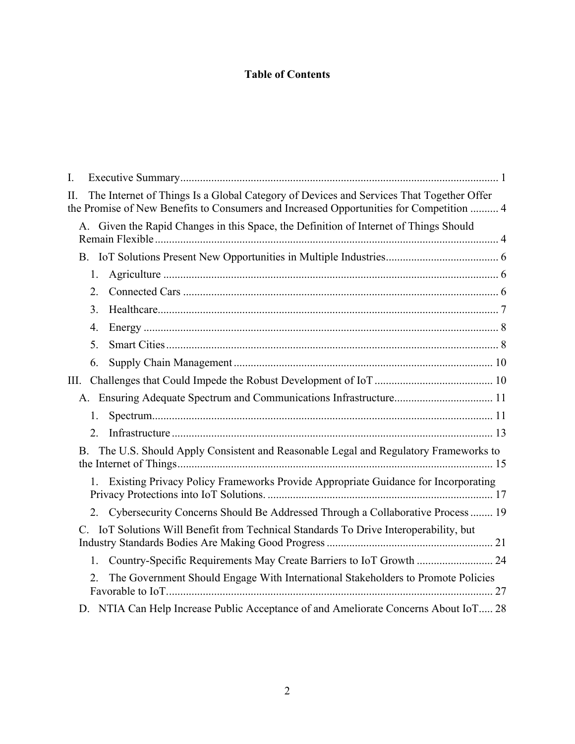## **Table of Contents**

| I.                                                                                                                                                                                       |  |
|------------------------------------------------------------------------------------------------------------------------------------------------------------------------------------------|--|
| The Internet of Things Is a Global Category of Devices and Services That Together Offer<br>П.<br>the Promise of New Benefits to Consumers and Increased Opportunities for Competition  4 |  |
| A. Given the Rapid Changes in this Space, the Definition of Internet of Things Should                                                                                                    |  |
|                                                                                                                                                                                          |  |
| 1.                                                                                                                                                                                       |  |
| 2.                                                                                                                                                                                       |  |
| 3 <sub>1</sub>                                                                                                                                                                           |  |
| 4.                                                                                                                                                                                       |  |
| 5.                                                                                                                                                                                       |  |
| 6.                                                                                                                                                                                       |  |
| Ш.                                                                                                                                                                                       |  |
|                                                                                                                                                                                          |  |
| 1.                                                                                                                                                                                       |  |
| 2.                                                                                                                                                                                       |  |
| The U.S. Should Apply Consistent and Reasonable Legal and Regulatory Frameworks to<br>В.                                                                                                 |  |
| 1. Existing Privacy Policy Frameworks Provide Appropriate Guidance for Incorporating                                                                                                     |  |
| Cybersecurity Concerns Should Be Addressed Through a Collaborative Process  19<br>2.                                                                                                     |  |
| IoT Solutions Will Benefit from Technical Standards To Drive Interoperability, but                                                                                                       |  |
| 1. Country-Specific Requirements May Create Barriers to IoT Growth  24                                                                                                                   |  |
| The Government Should Engage With International Stakeholders to Promote Policies<br>2.                                                                                                   |  |
| D. NTIA Can Help Increase Public Acceptance of and Ameliorate Concerns About IoT 28                                                                                                      |  |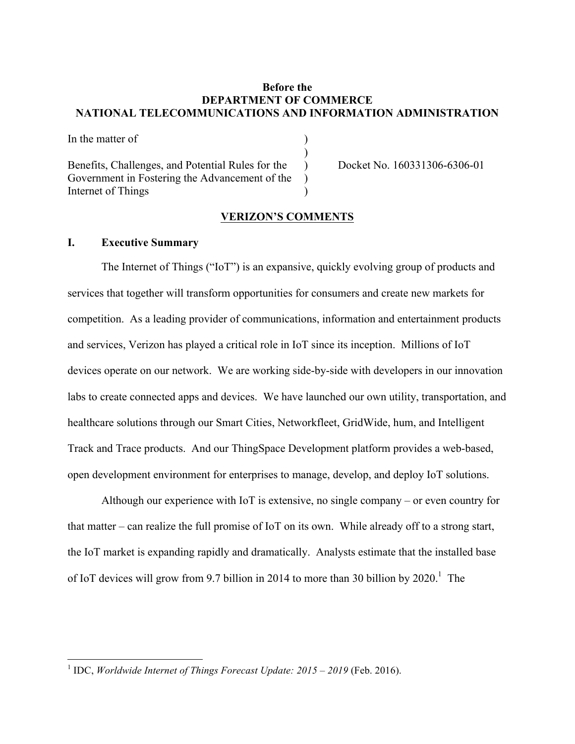## **Before the DEPARTMENT OF COMMERCE NATIONAL TELECOMMUNICATIONS AND INFORMATION ADMINISTRATION**

)

In the matter of  $\qquad \qquad$  ) Benefits, Challenges, and Potential Rules for the Docket No. 160331306-6306-01 Government in Fostering the Advancement of the  $\qquad$ ) Internet of Things )

### **VERIZON'S COMMENTS**

#### **I. Executive Summary**

The Internet of Things ("IoT") is an expansive, quickly evolving group of products and services that together will transform opportunities for consumers and create new markets for competition. As a leading provider of communications, information and entertainment products and services, Verizon has played a critical role in IoT since its inception. Millions of IoT devices operate on our network. We are working side-by-side with developers in our innovation labs to create connected apps and devices. We have launched our own utility, transportation, and healthcare solutions through our Smart Cities, Networkfleet, GridWide, hum, and Intelligent Track and Trace products. And our ThingSpace Development platform provides a web-based, open development environment for enterprises to manage, develop, and deploy IoT solutions.

Although our experience with IoT is extensive, no single company – or even country for that matter – can realize the full promise of IoT on its own. While already off to a strong start, the IoT market is expanding rapidly and dramatically. Analysts estimate that the installed base of IoT devices will grow from 9.7 billion in 2014 to more than 30 billion by  $2020$ .<sup>1</sup> The

 <sup>1</sup> IDC, *Worldwide Internet of Things Forecast Update: 2015 – <sup>2019</sup>* (Feb. 2016).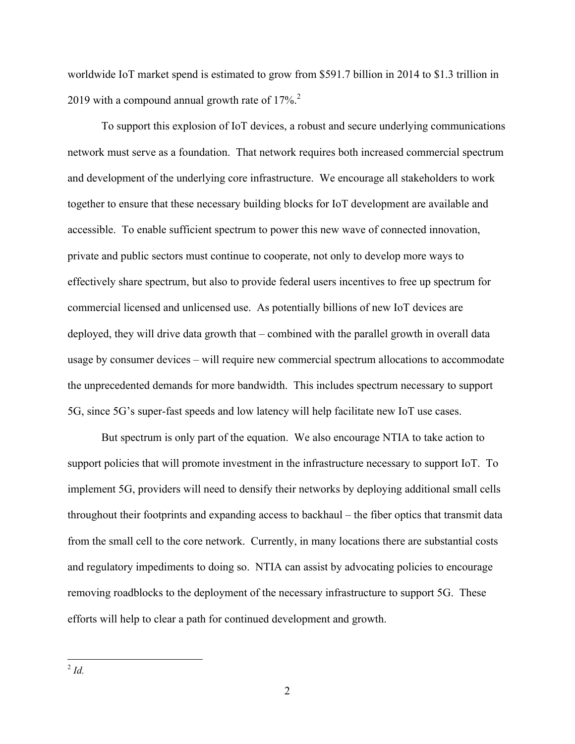worldwide IoT market spend is estimated to grow from \$591.7 billion in 2014 to \$1.3 trillion in 2019 with a compound annual growth rate of  $17\%$ <sup>2</sup>.

To support this explosion of IoT devices, a robust and secure underlying communications network must serve as a foundation. That network requires both increased commercial spectrum and development of the underlying core infrastructure. We encourage all stakeholders to work together to ensure that these necessary building blocks for IoT development are available and accessible. To enable sufficient spectrum to power this new wave of connected innovation, private and public sectors must continue to cooperate, not only to develop more ways to effectively share spectrum, but also to provide federal users incentives to free up spectrum for commercial licensed and unlicensed use. As potentially billions of new IoT devices are deployed, they will drive data growth that – combined with the parallel growth in overall data usage by consumer devices – will require new commercial spectrum allocations to accommodate the unprecedented demands for more bandwidth. This includes spectrum necessary to support 5G, since 5G's super-fast speeds and low latency will help facilitate new IoT use cases.

But spectrum is only part of the equation. We also encourage NTIA to take action to support policies that will promote investment in the infrastructure necessary to support IoT. To implement 5G, providers will need to densify their networks by deploying additional small cells throughout their footprints and expanding access to backhaul – the fiber optics that transmit data from the small cell to the core network. Currently, in many locations there are substantial costs and regulatory impediments to doing so. NTIA can assist by advocating policies to encourage removing roadblocks to the deployment of the necessary infrastructure to support 5G. These efforts will help to clear a path for continued development and growth.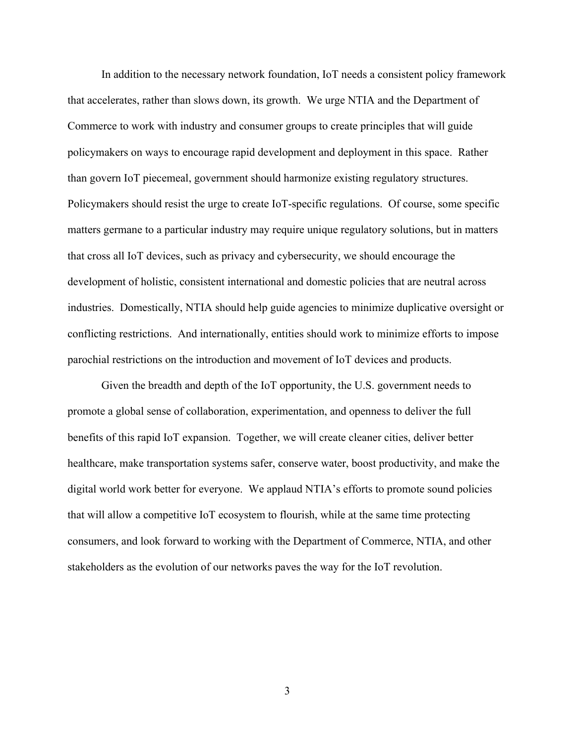In addition to the necessary network foundation, IoT needs a consistent policy framework that accelerates, rather than slows down, its growth. We urge NTIA and the Department of Commerce to work with industry and consumer groups to create principles that will guide policymakers on ways to encourage rapid development and deployment in this space. Rather than govern IoT piecemeal, government should harmonize existing regulatory structures. Policymakers should resist the urge to create IoT-specific regulations. Of course, some specific matters germane to a particular industry may require unique regulatory solutions, but in matters that cross all IoT devices, such as privacy and cybersecurity, we should encourage the development of holistic, consistent international and domestic policies that are neutral across industries. Domestically, NTIA should help guide agencies to minimize duplicative oversight or conflicting restrictions. And internationally, entities should work to minimize efforts to impose parochial restrictions on the introduction and movement of IoT devices and products.

Given the breadth and depth of the IoT opportunity, the U.S. government needs to promote a global sense of collaboration, experimentation, and openness to deliver the full benefits of this rapid IoT expansion. Together, we will create cleaner cities, deliver better healthcare, make transportation systems safer, conserve water, boost productivity, and make the digital world work better for everyone. We applaud NTIA's efforts to promote sound policies that will allow a competitive IoT ecosystem to flourish, while at the same time protecting consumers, and look forward to working with the Department of Commerce, NTIA, and other stakeholders as the evolution of our networks paves the way for the IoT revolution.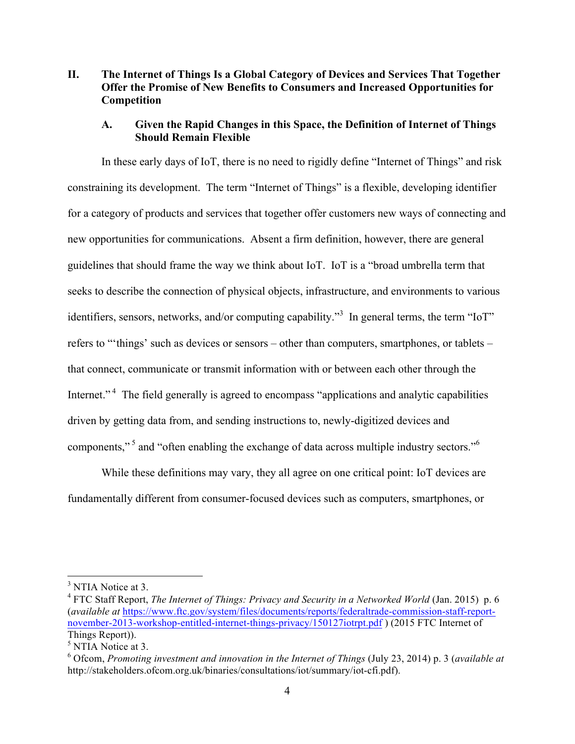## **II. The Internet of Things Is a Global Category of Devices and Services That Together Offer the Promise of New Benefits to Consumers and Increased Opportunities for Competition**

## **A. Given the Rapid Changes in this Space, the Definition of Internet of Things Should Remain Flexible**

In these early days of IoT, there is no need to rigidly define "Internet of Things" and risk constraining its development. The term "Internet of Things" is a flexible, developing identifier for a category of products and services that together offer customers new ways of connecting and new opportunities for communications. Absent a firm definition, however, there are general guidelines that should frame the way we think about IoT. IoT is a "broad umbrella term that seeks to describe the connection of physical objects, infrastructure, and environments to various identifiers, sensors, networks, and/or computing capability.<sup>33</sup> In general terms, the term "IoT" refers to "'things' such as devices or sensors – other than computers, smartphones, or tablets – that connect, communicate or transmit information with or between each other through the Internet."<sup>4</sup> The field generally is agreed to encompass "applications and analytic capabilities" driven by getting data from, and sending instructions to, newly-digitized devices and components,"<sup>5</sup> and "often enabling the exchange of data across multiple industry sectors."<sup>6</sup>

While these definitions may vary, they all agree on one critical point: IoT devices are fundamentally different from consumer-focused devices such as computers, smartphones, or

 $3$  NTIA Notice at 3.

<sup>4</sup> FTC Staff Report, *The Internet of Things: Privacy and Security in a Networked World* (Jan. 2015) p. 6 (*available at* https://www.ftc.gov/system/files/documents/reports/federaltrade-commission-staff-reportnovember-2013-workshop-entitled-internet-things-privacy/150127iotrpt.pdf ) (2015 FTC Internet of Things Report)).

<sup>&</sup>lt;sup>5</sup> NTIA Notice at 3.

<sup>6</sup> Ofcom, *Promoting investment and innovation in the Internet of Things* (July 23, 2014) p. 3 (*available at*  http://stakeholders.ofcom.org.uk/binaries/consultations/iot/summary/iot-cfi.pdf).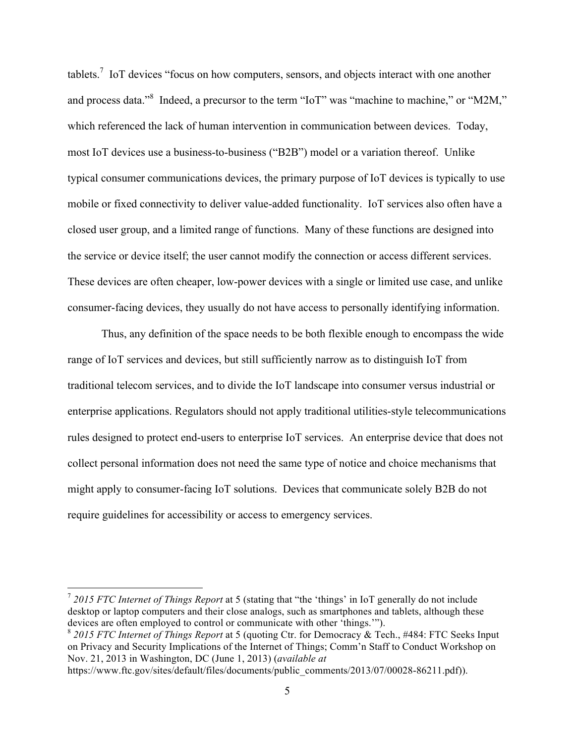tablets.7 IoT devices "focus on how computers, sensors, and objects interact with one another and process data."<sup>8</sup> Indeed, a precursor to the term "IoT" was "machine to machine," or "M2M," which referenced the lack of human intervention in communication between devices. Today, most IoT devices use a business-to-business ("B2B") model or a variation thereof. Unlike typical consumer communications devices, the primary purpose of IoT devices is typically to use mobile or fixed connectivity to deliver value-added functionality. IoT services also often have a closed user group, and a limited range of functions. Many of these functions are designed into the service or device itself; the user cannot modify the connection or access different services. These devices are often cheaper, low-power devices with a single or limited use case, and unlike consumer-facing devices, they usually do not have access to personally identifying information.

Thus, any definition of the space needs to be both flexible enough to encompass the wide range of IoT services and devices, but still sufficiently narrow as to distinguish IoT from traditional telecom services, and to divide the IoT landscape into consumer versus industrial or enterprise applications. Regulators should not apply traditional utilities-style telecommunications rules designed to protect end-users to enterprise IoT services. An enterprise device that does not collect personal information does not need the same type of notice and choice mechanisms that might apply to consumer-facing IoT solutions. Devices that communicate solely B2B do not require guidelines for accessibility or access to emergency services.

 <sup>7</sup> *2015 FTC Internet of Things Report* at 5 (stating that "the 'things' in IoT generally do not include desktop or laptop computers and their close analogs, such as smartphones and tablets, although these devices are often employed to control or communicate with other 'things.'").

<sup>8</sup> *2015 FTC Internet of Things Report* at 5 (quoting Ctr. for Democracy & Tech., #484: FTC Seeks Input on Privacy and Security Implications of the Internet of Things; Comm'n Staff to Conduct Workshop on Nov. 21, 2013 in Washington, DC (June 1, 2013) (*available at* 

https://www.ftc.gov/sites/default/files/documents/public\_comments/2013/07/00028-86211.pdf)).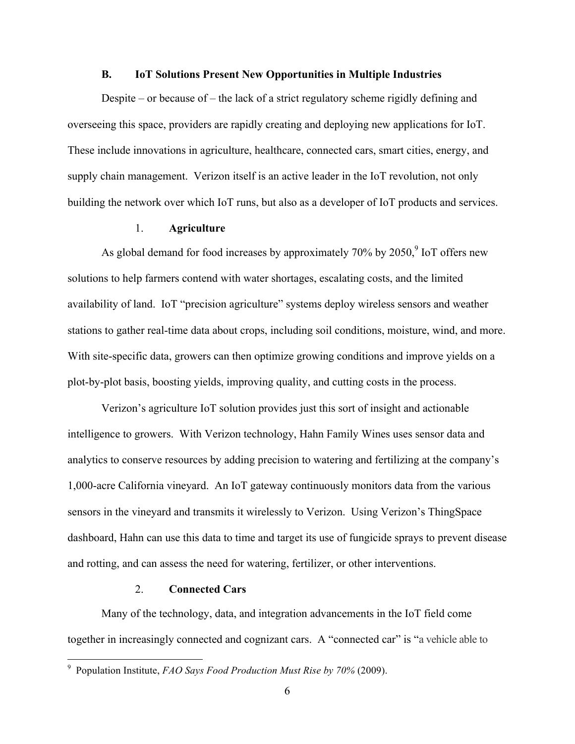#### **B. IoT Solutions Present New Opportunities in Multiple Industries**

Despite – or because of – the lack of a strict regulatory scheme rigidly defining and overseeing this space, providers are rapidly creating and deploying new applications for IoT. These include innovations in agriculture, healthcare, connected cars, smart cities, energy, and supply chain management. Verizon itself is an active leader in the IoT revolution, not only building the network over which IoT runs, but also as a developer of IoT products and services.

## 1. **Agriculture**

As global demand for food increases by approximately  $70\%$  by  $2050<sup>9</sup>$  IoT offers new solutions to help farmers contend with water shortages, escalating costs, and the limited availability of land. IoT "precision agriculture" systems deploy wireless sensors and weather stations to gather real-time data about crops, including soil conditions, moisture, wind, and more. With site-specific data, growers can then optimize growing conditions and improve yields on a plot-by-plot basis, boosting yields, improving quality, and cutting costs in the process.

Verizon's agriculture IoT solution provides just this sort of insight and actionable intelligence to growers. With Verizon technology, Hahn Family Wines uses sensor data and analytics to conserve resources by adding precision to watering and fertilizing at the company's 1,000-acre California vineyard. An IoT gateway continuously monitors data from the various sensors in the vineyard and transmits it wirelessly to Verizon. Using Verizon's ThingSpace dashboard, Hahn can use this data to time and target its use of fungicide sprays to prevent disease and rotting, and can assess the need for watering, fertilizer, or other interventions.

#### 2. **Connected Cars**

Many of the technology, data, and integration advancements in the IoT field come together in increasingly connected and cognizant cars. A "connected car" is "a vehicle able to

 <sup>9</sup> Population Institute, *FAO Says Food Production Must Rise by 70%* (2009).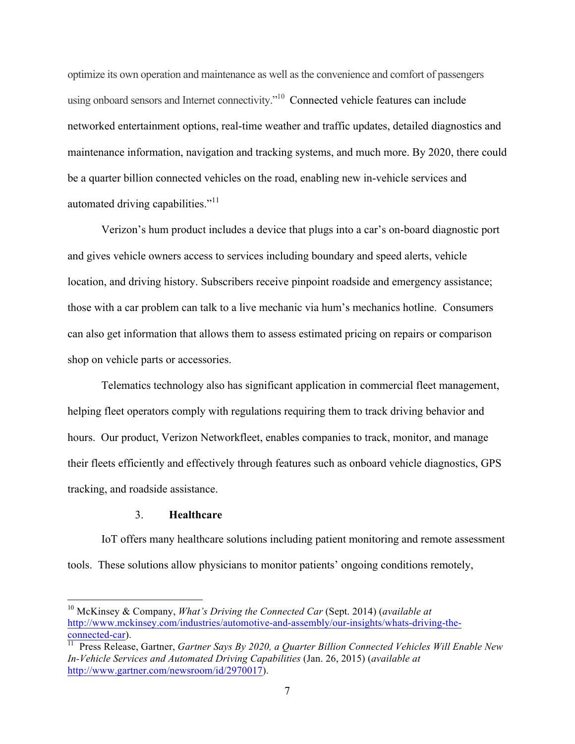optimize its own operation and maintenance as well as the convenience and comfort of passengers using onboard sensors and Internet connectivity."<sup>10</sup> Connected vehicle features can include networked entertainment options, real-time weather and traffic updates, detailed diagnostics and maintenance information, navigation and tracking systems, and much more. By 2020, there could be a quarter billion connected vehicles on the road, enabling new in-vehicle services and automated driving capabilities."<sup>11</sup>

Verizon's hum product includes a device that plugs into a car's on-board diagnostic port and gives vehicle owners access to services including boundary and speed alerts, vehicle location, and driving history. Subscribers receive pinpoint roadside and emergency assistance; those with a car problem can talk to a live mechanic via hum's mechanics hotline. Consumers can also get information that allows them to assess estimated pricing on repairs or comparison shop on vehicle parts or accessories.

Telematics technology also has significant application in commercial fleet management, helping fleet operators comply with regulations requiring them to track driving behavior and hours. Our product, Verizon Networkfleet, enables companies to track, monitor, and manage their fleets efficiently and effectively through features such as onboard vehicle diagnostics, GPS tracking, and roadside assistance.

## 3. **Healthcare**

IoT offers many healthcare solutions including patient monitoring and remote assessment tools. These solutions allow physicians to monitor patients' ongoing conditions remotely,

 <sup>10</sup> McKinsey & Company, *What's Driving the Connected Car* (Sept. 2014) (*available at*  http://www.mckinsey.com/industries/automotive-and-assembly/our-insights/whats-driving-theconnected-car).

<sup>&</sup>lt;sup>11</sup> Press Release, Gartner, *Gartner Says By 2020, a Quarter Billion Connected Vehicles Will Enable New In-Vehicle Services and Automated Driving Capabilities* (Jan. 26, 2015) (*available at*  http://www.gartner.com/newsroom/id/2970017).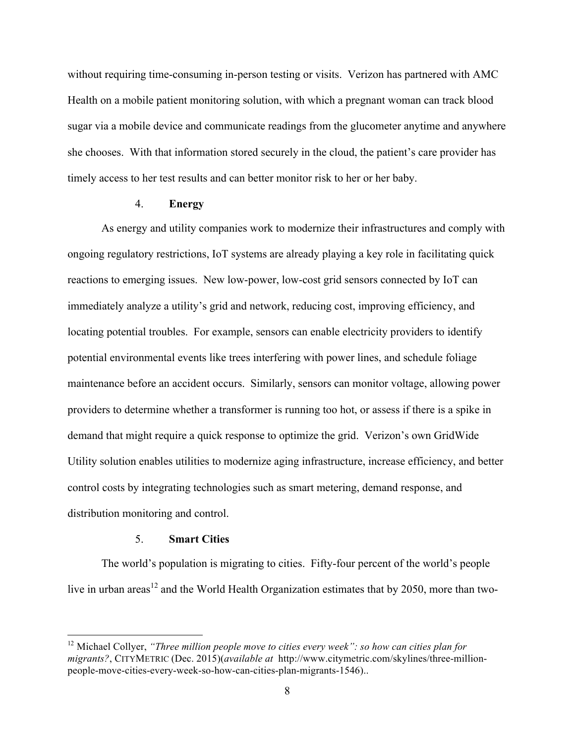without requiring time-consuming in-person testing or visits. Verizon has partnered with AMC Health on a mobile patient monitoring solution, with which a pregnant woman can track blood sugar via a mobile device and communicate readings from the glucometer anytime and anywhere she chooses. With that information stored securely in the cloud, the patient's care provider has timely access to her test results and can better monitor risk to her or her baby.

## 4. **Energy**

As energy and utility companies work to modernize their infrastructures and comply with ongoing regulatory restrictions, IoT systems are already playing a key role in facilitating quick reactions to emerging issues. New low-power, low-cost grid sensors connected by IoT can immediately analyze a utility's grid and network, reducing cost, improving efficiency, and locating potential troubles. For example, sensors can enable electricity providers to identify potential environmental events like trees interfering with power lines, and schedule foliage maintenance before an accident occurs. Similarly, sensors can monitor voltage, allowing power providers to determine whether a transformer is running too hot, or assess if there is a spike in demand that might require a quick response to optimize the grid. Verizon's own GridWide Utility solution enables utilities to modernize aging infrastructure, increase efficiency, and better control costs by integrating technologies such as smart metering, demand response, and distribution monitoring and control.

## 5. **Smart Cities**

The world's population is migrating to cities. Fifty-four percent of the world's people live in urban areas<sup>12</sup> and the World Health Organization estimates that by 2050, more than two-

<sup>&</sup>lt;sup>12</sup> Michael Collyer, *"Three million people move to cities every week": so how can cities plan for migrants?*, CITYMETRIC (Dec. 2015)(*available at* http://www.citymetric.com/skylines/three-millionpeople-move-cities-every-week-so-how-can-cities-plan-migrants-1546)..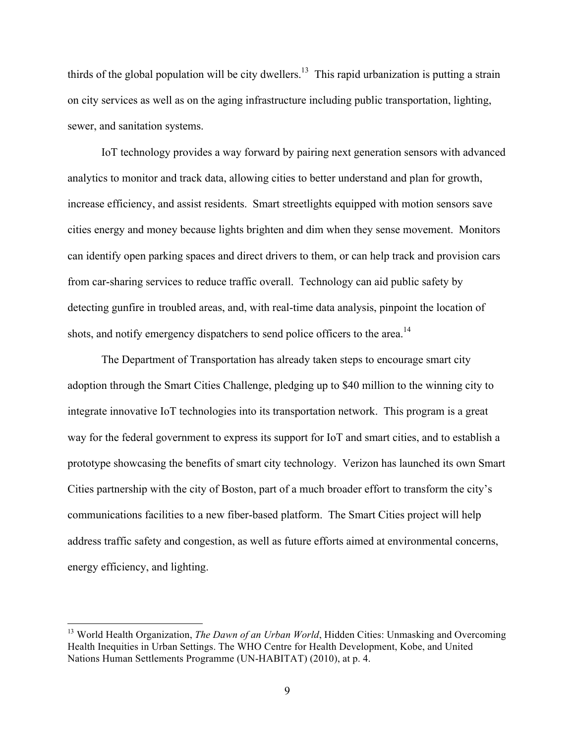thirds of the global population will be city dwellers.<sup>13</sup> This rapid urbanization is putting a strain on city services as well as on the aging infrastructure including public transportation, lighting, sewer, and sanitation systems.

IoT technology provides a way forward by pairing next generation sensors with advanced analytics to monitor and track data, allowing cities to better understand and plan for growth, increase efficiency, and assist residents. Smart streetlights equipped with motion sensors save cities energy and money because lights brighten and dim when they sense movement. Monitors can identify open parking spaces and direct drivers to them, or can help track and provision cars from car-sharing services to reduce traffic overall. Technology can aid public safety by detecting gunfire in troubled areas, and, with real-time data analysis, pinpoint the location of shots, and notify emergency dispatchers to send police officers to the area.<sup>14</sup>

The Department of Transportation has already taken steps to encourage smart city adoption through the Smart Cities Challenge, pledging up to \$40 million to the winning city to integrate innovative IoT technologies into its transportation network. This program is a great way for the federal government to express its support for IoT and smart cities, and to establish a prototype showcasing the benefits of smart city technology. Verizon has launched its own Smart Cities partnership with the city of Boston, part of a much broader effort to transform the city's communications facilities to a new fiber-based platform. The Smart Cities project will help address traffic safety and congestion, as well as future efforts aimed at environmental concerns, energy efficiency, and lighting.

<sup>&</sup>lt;sup>13</sup> World Health Organization, *The Dawn of an Urban World*, Hidden Cities: Unmasking and Overcoming Health Inequities in Urban Settings. The WHO Centre for Health Development, Kobe, and United Nations Human Settlements Programme (UN-HABITAT) (2010), at p. 4.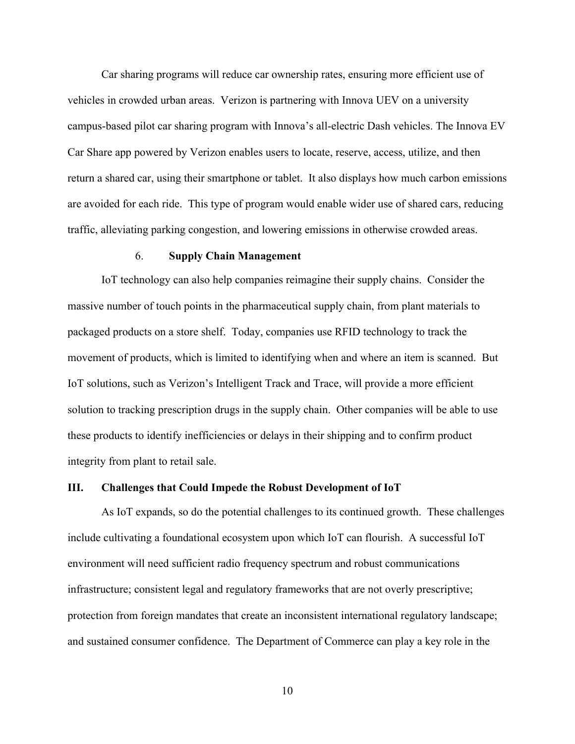Car sharing programs will reduce car ownership rates, ensuring more efficient use of vehicles in crowded urban areas. Verizon is partnering with Innova UEV on a university campus-based pilot car sharing program with Innova's all-electric Dash vehicles. The Innova EV Car Share app powered by Verizon enables users to locate, reserve, access, utilize, and then return a shared car, using their smartphone or tablet. It also displays how much carbon emissions are avoided for each ride. This type of program would enable wider use of shared cars, reducing traffic, alleviating parking congestion, and lowering emissions in otherwise crowded areas.

#### 6. **Supply Chain Management**

IoT technology can also help companies reimagine their supply chains. Consider the massive number of touch points in the pharmaceutical supply chain, from plant materials to packaged products on a store shelf. Today, companies use RFID technology to track the movement of products, which is limited to identifying when and where an item is scanned. But IoT solutions, such as Verizon's Intelligent Track and Trace, will provide a more efficient solution to tracking prescription drugs in the supply chain. Other companies will be able to use these products to identify inefficiencies or delays in their shipping and to confirm product integrity from plant to retail sale.

#### **III. Challenges that Could Impede the Robust Development of IoT**

As IoT expands, so do the potential challenges to its continued growth. These challenges include cultivating a foundational ecosystem upon which IoT can flourish. A successful IoT environment will need sufficient radio frequency spectrum and robust communications infrastructure; consistent legal and regulatory frameworks that are not overly prescriptive; protection from foreign mandates that create an inconsistent international regulatory landscape; and sustained consumer confidence. The Department of Commerce can play a key role in the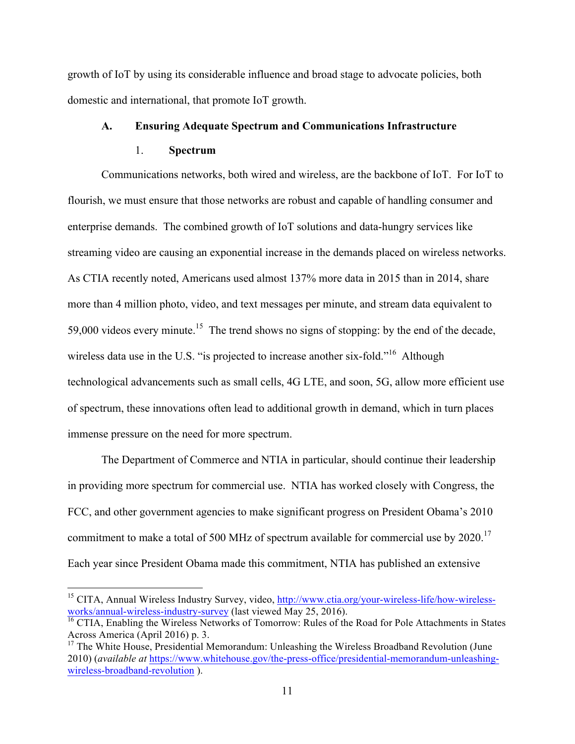growth of IoT by using its considerable influence and broad stage to advocate policies, both domestic and international, that promote IoT growth.

## **A. Ensuring Adequate Spectrum and Communications Infrastructure**

#### 1. **Spectrum**

Communications networks, both wired and wireless, are the backbone of IoT. For IoT to flourish, we must ensure that those networks are robust and capable of handling consumer and enterprise demands. The combined growth of IoT solutions and data-hungry services like streaming video are causing an exponential increase in the demands placed on wireless networks. As CTIA recently noted, Americans used almost 137% more data in 2015 than in 2014, share more than 4 million photo, video, and text messages per minute, and stream data equivalent to 59,000 videos every minute.<sup>15</sup> The trend shows no signs of stopping: by the end of the decade, wireless data use in the U.S. "is projected to increase another six-fold."<sup>16</sup> Although technological advancements such as small cells, 4G LTE, and soon, 5G, allow more efficient use of spectrum, these innovations often lead to additional growth in demand, which in turn places immense pressure on the need for more spectrum.

The Department of Commerce and NTIA in particular, should continue their leadership in providing more spectrum for commercial use. NTIA has worked closely with Congress, the FCC, and other government agencies to make significant progress on President Obama's 2010 commitment to make a total of 500 MHz of spectrum available for commercial use by 2020.<sup>17</sup> Each year since President Obama made this commitment, NTIA has published an extensive

<sup>&</sup>lt;sup>15</sup> CITA, Annual Wireless Industry Survey, video, http://www.ctia.org/your-wireless-life/how-wirelessworks/annual-wireless-industry-survey (last viewed May 25, 2016).

 $\frac{16}{16}$  CTIA, Enabling the Wireless Networks of Tomorrow: Rules of the Road for Pole Attachments in States Across America (April 2016) p. 3.

 $17$  The White House, Presidential Memorandum: Unleashing the Wireless Broadband Revolution (June 2010) (*available at* https://www.whitehouse.gov/the-press-office/presidential-memorandum-unleashingwireless-broadband-revolution ).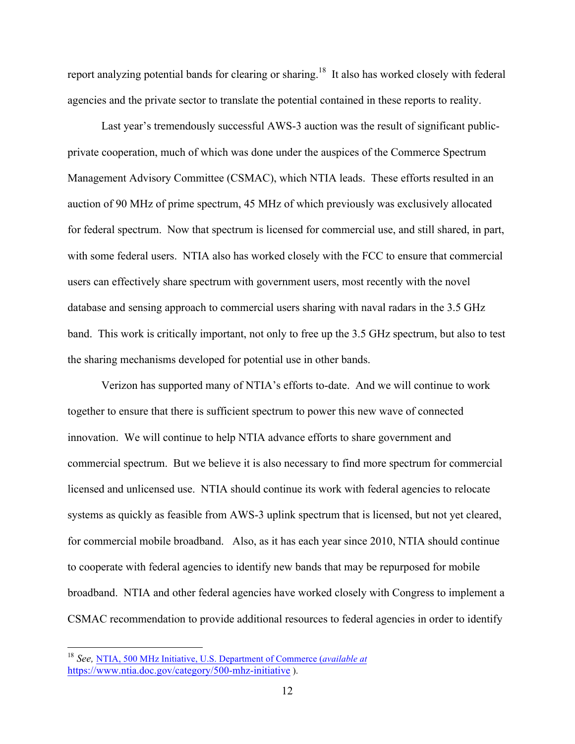report analyzing potential bands for clearing or sharing.<sup>18</sup> It also has worked closely with federal agencies and the private sector to translate the potential contained in these reports to reality.

Last year's tremendously successful AWS-3 auction was the result of significant publicprivate cooperation, much of which was done under the auspices of the Commerce Spectrum Management Advisory Committee (CSMAC), which NTIA leads. These efforts resulted in an auction of 90 MHz of prime spectrum, 45 MHz of which previously was exclusively allocated for federal spectrum. Now that spectrum is licensed for commercial use, and still shared, in part, with some federal users. NTIA also has worked closely with the FCC to ensure that commercial users can effectively share spectrum with government users, most recently with the novel database and sensing approach to commercial users sharing with naval radars in the 3.5 GHz band. This work is critically important, not only to free up the 3.5 GHz spectrum, but also to test the sharing mechanisms developed for potential use in other bands.

Verizon has supported many of NTIA's efforts to-date. And we will continue to work together to ensure that there is sufficient spectrum to power this new wave of connected innovation. We will continue to help NTIA advance efforts to share government and commercial spectrum. But we believe it is also necessary to find more spectrum for commercial licensed and unlicensed use. NTIA should continue its work with federal agencies to relocate systems as quickly as feasible from AWS-3 uplink spectrum that is licensed, but not yet cleared, for commercial mobile broadband. Also, as it has each year since 2010, NTIA should continue to cooperate with federal agencies to identify new bands that may be repurposed for mobile broadband. NTIA and other federal agencies have worked closely with Congress to implement a CSMAC recommendation to provide additional resources to federal agencies in order to identify

 <sup>18</sup> *See,* NTIA, 500 MHz Initiative, U.S. Department of Commerce (*available at*  https://www.ntia.doc.gov/category/500-mhz-initiative ).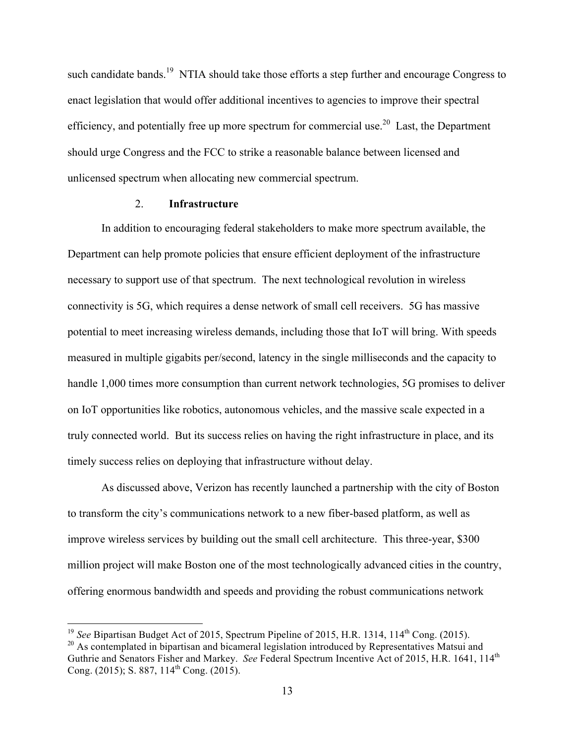such candidate bands.<sup>19</sup> NTIA should take those efforts a step further and encourage Congress to enact legislation that would offer additional incentives to agencies to improve their spectral efficiency, and potentially free up more spectrum for commercial use.<sup>20</sup> Last, the Department should urge Congress and the FCC to strike a reasonable balance between licensed and unlicensed spectrum when allocating new commercial spectrum.

#### 2. **Infrastructure**

In addition to encouraging federal stakeholders to make more spectrum available, the Department can help promote policies that ensure efficient deployment of the infrastructure necessary to support use of that spectrum. The next technological revolution in wireless connectivity is 5G, which requires a dense network of small cell receivers. 5G has massive potential to meet increasing wireless demands, including those that IoT will bring. With speeds measured in multiple gigabits per/second, latency in the single milliseconds and the capacity to handle 1,000 times more consumption than current network technologies, 5G promises to deliver on IoT opportunities like robotics, autonomous vehicles, and the massive scale expected in a truly connected world. But its success relies on having the right infrastructure in place, and its timely success relies on deploying that infrastructure without delay.

As discussed above, Verizon has recently launched a partnership with the city of Boston to transform the city's communications network to a new fiber-based platform, as well as improve wireless services by building out the small cell architecture. This three-year, \$300 million project will make Boston one of the most technologically advanced cities in the country, offering enormous bandwidth and speeds and providing the robust communications network

<sup>&</sup>lt;sup>19</sup> *See* Bipartisan Budget Act of 2015, Spectrum Pipeline of 2015, H.R. 1314, 114<sup>th</sup> Cong. (2015).<br><sup>20</sup> As contemplated in bipartisan and bicameral legislation introduced by Representatives Matsui and Guthrie and Senators Fisher and Markey. *See* Federal Spectrum Incentive Act of 2015, H.R. 1641, 114<sup>th</sup> Cong. (2015); S. 887,  $114^{th}$  Cong. (2015).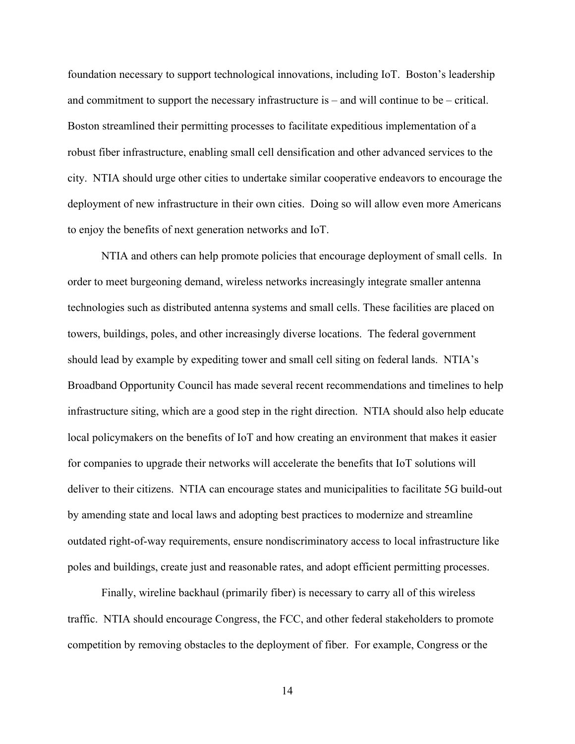foundation necessary to support technological innovations, including IoT. Boston's leadership and commitment to support the necessary infrastructure is – and will continue to be – critical. Boston streamlined their permitting processes to facilitate expeditious implementation of a robust fiber infrastructure, enabling small cell densification and other advanced services to the city. NTIA should urge other cities to undertake similar cooperative endeavors to encourage the deployment of new infrastructure in their own cities. Doing so will allow even more Americans to enjoy the benefits of next generation networks and IoT.

NTIA and others can help promote policies that encourage deployment of small cells. In order to meet burgeoning demand, wireless networks increasingly integrate smaller antenna technologies such as distributed antenna systems and small cells. These facilities are placed on towers, buildings, poles, and other increasingly diverse locations. The federal government should lead by example by expediting tower and small cell siting on federal lands. NTIA's Broadband Opportunity Council has made several recent recommendations and timelines to help infrastructure siting, which are a good step in the right direction. NTIA should also help educate local policymakers on the benefits of IoT and how creating an environment that makes it easier for companies to upgrade their networks will accelerate the benefits that IoT solutions will deliver to their citizens. NTIA can encourage states and municipalities to facilitate 5G build-out by amending state and local laws and adopting best practices to modernize and streamline outdated right-of-way requirements, ensure nondiscriminatory access to local infrastructure like poles and buildings, create just and reasonable rates, and adopt efficient permitting processes.

Finally, wireline backhaul (primarily fiber) is necessary to carry all of this wireless traffic. NTIA should encourage Congress, the FCC, and other federal stakeholders to promote competition by removing obstacles to the deployment of fiber. For example, Congress or the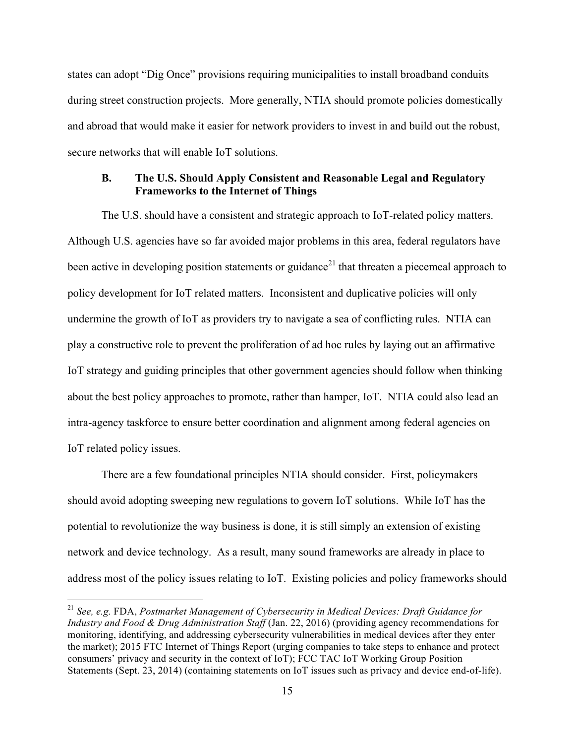states can adopt "Dig Once" provisions requiring municipalities to install broadband conduits during street construction projects. More generally, NTIA should promote policies domestically and abroad that would make it easier for network providers to invest in and build out the robust, secure networks that will enable IoT solutions.

#### **B. The U.S. Should Apply Consistent and Reasonable Legal and Regulatory Frameworks to the Internet of Things**

The U.S. should have a consistent and strategic approach to IoT-related policy matters. Although U.S. agencies have so far avoided major problems in this area, federal regulators have been active in developing position statements or guidance<sup>21</sup> that threaten a piecemeal approach to policy development for IoT related matters. Inconsistent and duplicative policies will only undermine the growth of IoT as providers try to navigate a sea of conflicting rules. NTIA can play a constructive role to prevent the proliferation of ad hoc rules by laying out an affirmative IoT strategy and guiding principles that other government agencies should follow when thinking about the best policy approaches to promote, rather than hamper, IoT. NTIA could also lead an intra-agency taskforce to ensure better coordination and alignment among federal agencies on IoT related policy issues.

There are a few foundational principles NTIA should consider. First, policymakers should avoid adopting sweeping new regulations to govern IoT solutions. While IoT has the potential to revolutionize the way business is done, it is still simply an extension of existing network and device technology. As a result, many sound frameworks are already in place to address most of the policy issues relating to IoT. Existing policies and policy frameworks should

 <sup>21</sup> *See, e.g.* FDA, *Postmarket Management of Cybersecurity in Medical Devices: Draft Guidance for Industry and Food & Drug Administration Staff* (Jan. 22, 2016) (providing agency recommendations for monitoring, identifying, and addressing cybersecurity vulnerabilities in medical devices after they enter the market); 2015 FTC Internet of Things Report (urging companies to take steps to enhance and protect consumers' privacy and security in the context of IoT); FCC TAC IoT Working Group Position Statements (Sept. 23, 2014) (containing statements on IoT issues such as privacy and device end-of-life).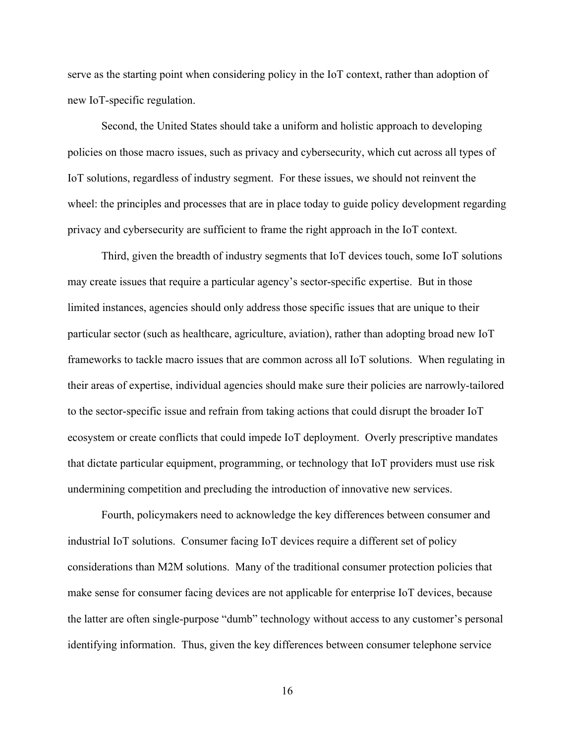serve as the starting point when considering policy in the IoT context, rather than adoption of new IoT-specific regulation.

Second, the United States should take a uniform and holistic approach to developing policies on those macro issues, such as privacy and cybersecurity, which cut across all types of IoT solutions, regardless of industry segment. For these issues, we should not reinvent the wheel: the principles and processes that are in place today to guide policy development regarding privacy and cybersecurity are sufficient to frame the right approach in the IoT context.

Third, given the breadth of industry segments that IoT devices touch, some IoT solutions may create issues that require a particular agency's sector-specific expertise. But in those limited instances, agencies should only address those specific issues that are unique to their particular sector (such as healthcare, agriculture, aviation), rather than adopting broad new IoT frameworks to tackle macro issues that are common across all IoT solutions. When regulating in their areas of expertise, individual agencies should make sure their policies are narrowly-tailored to the sector-specific issue and refrain from taking actions that could disrupt the broader IoT ecosystem or create conflicts that could impede IoT deployment. Overly prescriptive mandates that dictate particular equipment, programming, or technology that IoT providers must use risk undermining competition and precluding the introduction of innovative new services.

Fourth, policymakers need to acknowledge the key differences between consumer and industrial IoT solutions. Consumer facing IoT devices require a different set of policy considerations than M2M solutions. Many of the traditional consumer protection policies that make sense for consumer facing devices are not applicable for enterprise IoT devices, because the latter are often single-purpose "dumb" technology without access to any customer's personal identifying information. Thus, given the key differences between consumer telephone service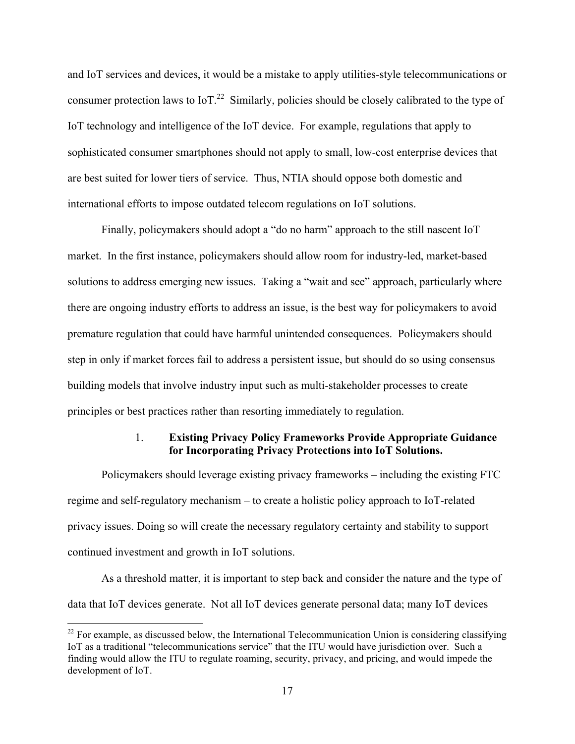and IoT services and devices, it would be a mistake to apply utilities-style telecommunications or consumer protection laws to IoT.<sup>22</sup> Similarly, policies should be closely calibrated to the type of IoT technology and intelligence of the IoT device. For example, regulations that apply to sophisticated consumer smartphones should not apply to small, low-cost enterprise devices that are best suited for lower tiers of service. Thus, NTIA should oppose both domestic and international efforts to impose outdated telecom regulations on IoT solutions.

Finally, policymakers should adopt a "do no harm" approach to the still nascent IoT market. In the first instance, policymakers should allow room for industry-led, market-based solutions to address emerging new issues. Taking a "wait and see" approach, particularly where there are ongoing industry efforts to address an issue, is the best way for policymakers to avoid premature regulation that could have harmful unintended consequences. Policymakers should step in only if market forces fail to address a persistent issue, but should do so using consensus building models that involve industry input such as multi-stakeholder processes to create principles or best practices rather than resorting immediately to regulation.

### 1. **Existing Privacy Policy Frameworks Provide Appropriate Guidance for Incorporating Privacy Protections into IoT Solutions.**

 Policymakers should leverage existing privacy frameworks – including the existing FTC regime and self-regulatory mechanism – to create a holistic policy approach to IoT-related privacy issues. Doing so will create the necessary regulatory certainty and stability to support continued investment and growth in IoT solutions.

As a threshold matter, it is important to step back and consider the nature and the type of data that IoT devices generate. Not all IoT devices generate personal data; many IoT devices

 $^{22}$  For example, as discussed below, the International Telecommunication Union is considering classifying IoT as a traditional "telecommunications service" that the ITU would have jurisdiction over. Such a finding would allow the ITU to regulate roaming, security, privacy, and pricing, and would impede the development of IoT.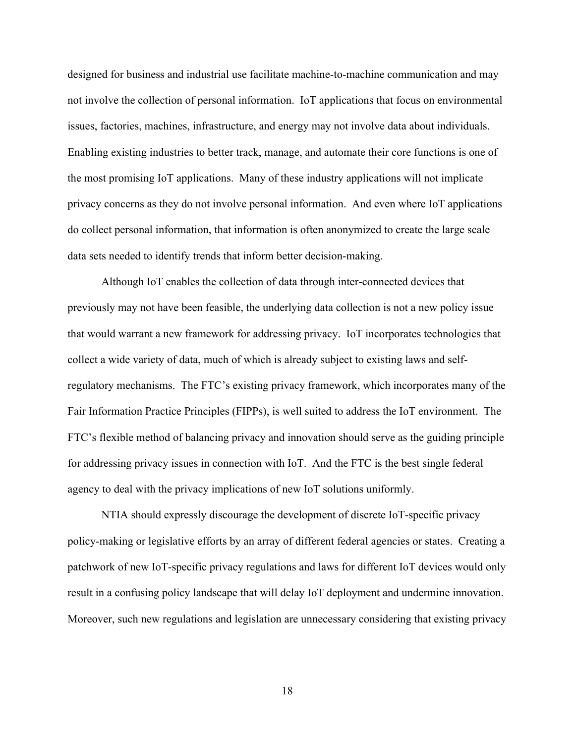designed for business and industrial use facilitate machine-to-machine communication and may not involve the collection of personal information. IoT applications that focus on environmental issues, factories, machines, infrastructure, and energy may not involve data about individuals. Enabling existing industries to better track, manage, and automate their core functions is one of the most promising IoT applications. Many of these industry applications will not implicate privacy concerns as they do not involve personal information. And even where IoT applications do collect personal information, that information is often anonymized to create the large scale data sets needed to identify trends that inform better decision-making.

Although IoT enables the collection of data through inter-connected devices that previously may not have been feasible, the underlying data collection is not a new policy issue that would warrant a new framework for addressing privacy. IoT incorporates technologies that collect a wide variety of data, much of which is already subject to existing laws and selfregulatory mechanisms. The FTC's existing privacy framework, which incorporates many of the Fair Information Practice Principles (FIPPs), is well suited to address the IoT environment. The FTC's flexible method of balancing privacy and innovation should serve as the guiding principle for addressing privacy issues in connection with IoT. And the FTC is the best single federal agency to deal with the privacy implications of new IoT solutions uniformly.

NTIA should expressly discourage the development of discrete IoT-specific privacy policy-making or legislative efforts by an array of different federal agencies or states. Creating a patchwork of new IoT-specific privacy regulations and laws for different IoT devices would only result in a confusing policy landscape that will delay IoT deployment and undermine innovation. Moreover, such new regulations and legislation are unnecessary considering that existing privacy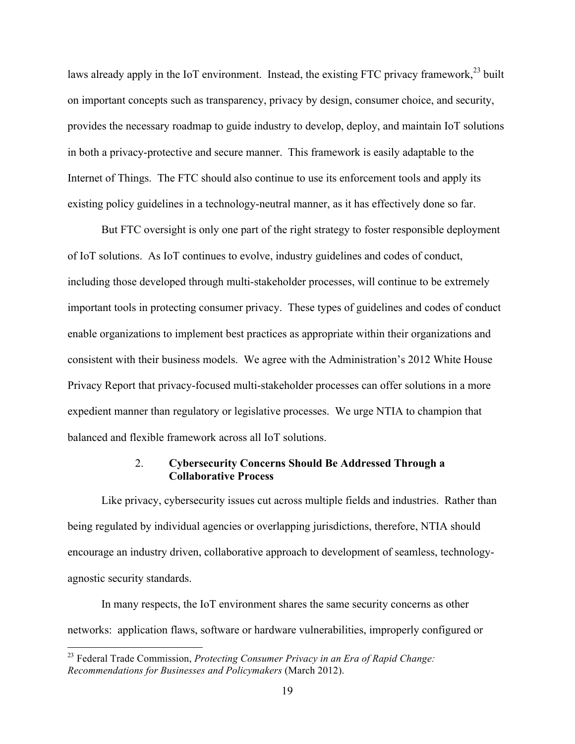laws already apply in the IoT environment. Instead, the existing FTC privacy framework,<sup>23</sup> built on important concepts such as transparency, privacy by design, consumer choice, and security, provides the necessary roadmap to guide industry to develop, deploy, and maintain IoT solutions in both a privacy-protective and secure manner. This framework is easily adaptable to the Internet of Things. The FTC should also continue to use its enforcement tools and apply its existing policy guidelines in a technology-neutral manner, as it has effectively done so far.

But FTC oversight is only one part of the right strategy to foster responsible deployment of IoT solutions. As IoT continues to evolve, industry guidelines and codes of conduct, including those developed through multi-stakeholder processes, will continue to be extremely important tools in protecting consumer privacy. These types of guidelines and codes of conduct enable organizations to implement best practices as appropriate within their organizations and consistent with their business models. We agree with the Administration's 2012 White House Privacy Report that privacy-focused multi-stakeholder processes can offer solutions in a more expedient manner than regulatory or legislative processes. We urge NTIA to champion that balanced and flexible framework across all IoT solutions.

## 2. **Cybersecurity Concerns Should Be Addressed Through a Collaborative Process**

Like privacy, cybersecurity issues cut across multiple fields and industries. Rather than being regulated by individual agencies or overlapping jurisdictions, therefore, NTIA should encourage an industry driven, collaborative approach to development of seamless, technologyagnostic security standards.

In many respects, the IoT environment shares the same security concerns as other networks: application flaws, software or hardware vulnerabilities, improperly configured or

 <sup>23</sup> Federal Trade Commission, *Protecting Consumer Privacy in an Era of Rapid Change: Recommendations for Businesses and Policymakers* (March 2012).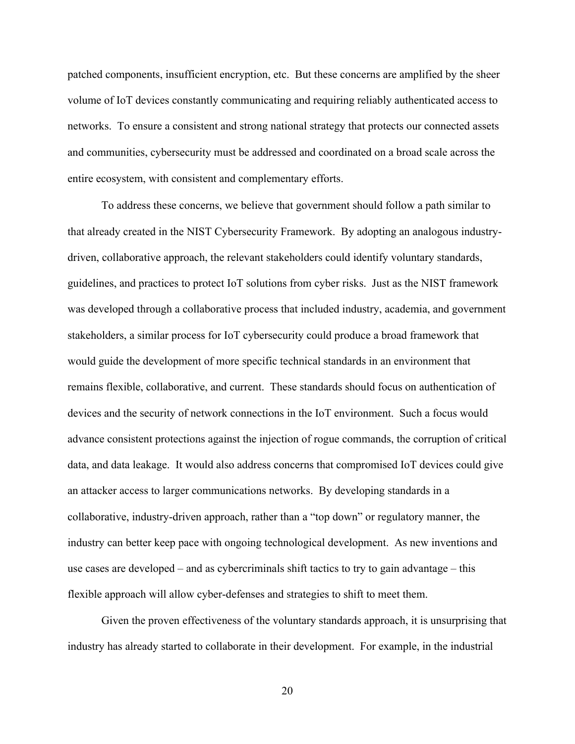patched components, insufficient encryption, etc. But these concerns are amplified by the sheer volume of IoT devices constantly communicating and requiring reliably authenticated access to networks. To ensure a consistent and strong national strategy that protects our connected assets and communities, cybersecurity must be addressed and coordinated on a broad scale across the entire ecosystem, with consistent and complementary efforts. 

To address these concerns, we believe that government should follow a path similar to that already created in the NIST Cybersecurity Framework. By adopting an analogous industrydriven, collaborative approach, the relevant stakeholders could identify voluntary standards, guidelines, and practices to protect IoT solutions from cyber risks. Just as the NIST framework was developed through a collaborative process that included industry, academia, and government stakeholders, a similar process for IoT cybersecurity could produce a broad framework that would guide the development of more specific technical standards in an environment that remains flexible, collaborative, and current. These standards should focus on authentication of devices and the security of network connections in the IoT environment. Such a focus would advance consistent protections against the injection of rogue commands, the corruption of critical data, and data leakage. It would also address concerns that compromised IoT devices could give an attacker access to larger communications networks. By developing standards in a collaborative, industry-driven approach, rather than a "top down" or regulatory manner, the industry can better keep pace with ongoing technological development. As new inventions and use cases are developed – and as cybercriminals shift tactics to try to gain advantage – this flexible approach will allow cyber-defenses and strategies to shift to meet them.

Given the proven effectiveness of the voluntary standards approach, it is unsurprising that industry has already started to collaborate in their development. For example, in the industrial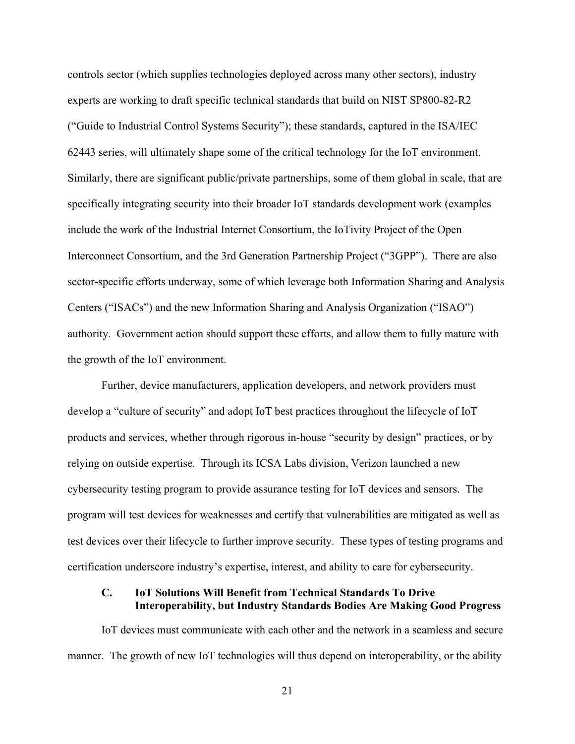controls sector (which supplies technologies deployed across many other sectors), industry experts are working to draft specific technical standards that build on NIST SP800-82-R2 ("Guide to Industrial Control Systems Security"); these standards, captured in the ISA/IEC 62443 series, will ultimately shape some of the critical technology for the IoT environment. Similarly, there are significant public/private partnerships, some of them global in scale, that are specifically integrating security into their broader IoT standards development work (examples include the work of the Industrial Internet Consortium, the IoTivity Project of the Open Interconnect Consortium, and the 3rd Generation Partnership Project ("3GPP"). There are also sector-specific efforts underway, some of which leverage both Information Sharing and Analysis Centers ("ISACs") and the new Information Sharing and Analysis Organization ("ISAO") authority. Government action should support these efforts, and allow them to fully mature with the growth of the IoT environment.

Further, device manufacturers, application developers, and network providers must develop a "culture of security" and adopt IoT best practices throughout the lifecycle of IoT products and services, whether through rigorous in-house "security by design" practices, or by relying on outside expertise. Through its ICSA Labs division, Verizon launched a new cybersecurity testing program to provide assurance testing for IoT devices and sensors. The program will test devices for weaknesses and certify that vulnerabilities are mitigated as well as test devices over their lifecycle to further improve security. These types of testing programs and certification underscore industry's expertise, interest, and ability to care for cybersecurity.

#### **C. IoT Solutions Will Benefit from Technical Standards To Drive Interoperability, but Industry Standards Bodies Are Making Good Progress**

IoT devices must communicate with each other and the network in a seamless and secure manner. The growth of new IoT technologies will thus depend on interoperability, or the ability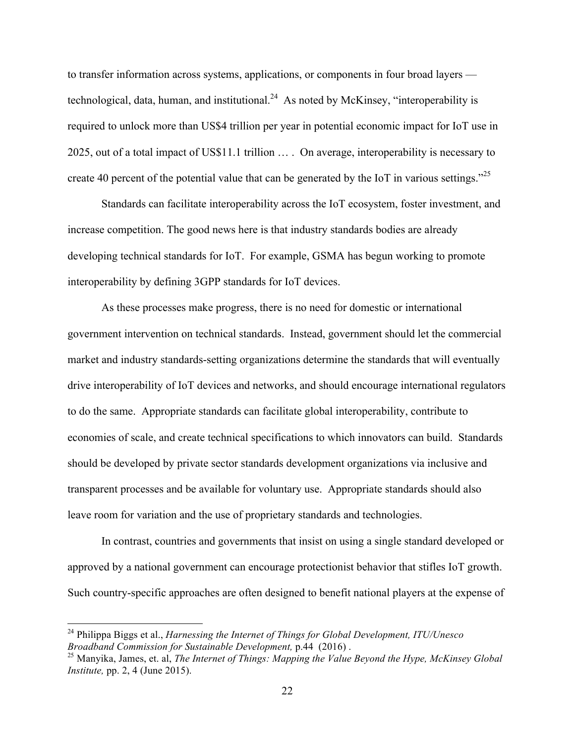to transfer information across systems, applications, or components in four broad layers technological, data, human, and institutional.<sup>24</sup> As noted by McKinsey, "interoperability is required to unlock more than US\$4 trillion per year in potential economic impact for IoT use in 2025, out of a total impact of US\$11.1 trillion … . On average, interoperability is necessary to create 40 percent of the potential value that can be generated by the IoT in various settings.<sup> $25$ </sup>

Standards can facilitate interoperability across the IoT ecosystem, foster investment, and increase competition. The good news here is that industry standards bodies are already developing technical standards for IoT. For example, GSMA has begun working to promote interoperability by defining 3GPP standards for IoT devices.

As these processes make progress, there is no need for domestic or international government intervention on technical standards. Instead, government should let the commercial market and industry standards-setting organizations determine the standards that will eventually drive interoperability of IoT devices and networks, and should encourage international regulators to do the same. Appropriate standards can facilitate global interoperability, contribute to economies of scale, and create technical specifications to which innovators can build. Standards should be developed by private sector standards development organizations via inclusive and transparent processes and be available for voluntary use. Appropriate standards should also leave room for variation and the use of proprietary standards and technologies.

In contrast, countries and governments that insist on using a single standard developed or approved by a national government can encourage protectionist behavior that stifles IoT growth. Such country-specific approaches are often designed to benefit national players at the expense of

 <sup>24</sup> Philippa Biggs et al., *Harnessing the Internet of Things for Global Development, ITU/Unesco Broadband Commission for Sustainable Development,* p.44 (2016) . <sup>25</sup> Manyika, James, et. al, *The Internet of Things: Mapping the Value Beyond the Hype, McKinsey Global* 

*Institute,* pp. 2, 4 (June 2015).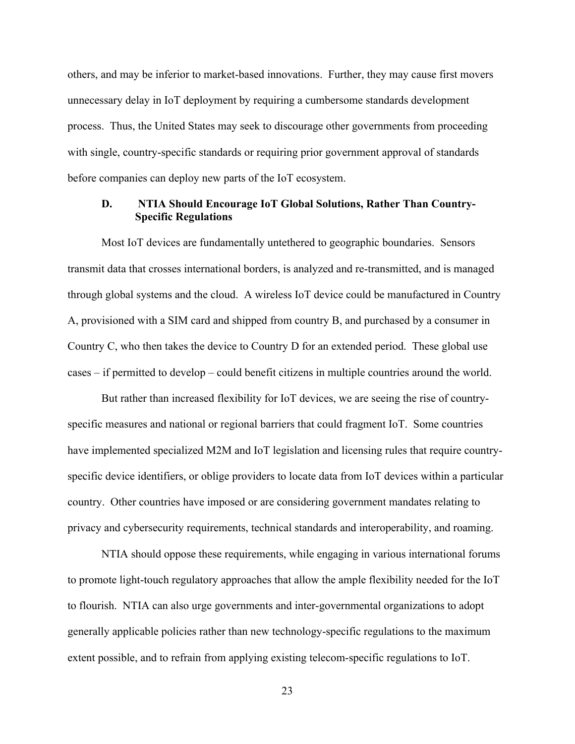others, and may be inferior to market-based innovations. Further, they may cause first movers unnecessary delay in IoT deployment by requiring a cumbersome standards development process. Thus, the United States may seek to discourage other governments from proceeding with single, country-specific standards or requiring prior government approval of standards before companies can deploy new parts of the IoT ecosystem.

### **D. NTIA Should Encourage IoT Global Solutions, Rather Than Country-Specific Regulations**

Most IoT devices are fundamentally untethered to geographic boundaries. Sensors transmit data that crosses international borders, is analyzed and re-transmitted, and is managed through global systems and the cloud. A wireless IoT device could be manufactured in Country A, provisioned with a SIM card and shipped from country B, and purchased by a consumer in Country C, who then takes the device to Country D for an extended period. These global use cases – if permitted to develop – could benefit citizens in multiple countries around the world.

But rather than increased flexibility for IoT devices, we are seeing the rise of countryspecific measures and national or regional barriers that could fragment IoT. Some countries have implemented specialized M2M and IoT legislation and licensing rules that require countryspecific device identifiers, or oblige providers to locate data from IoT devices within a particular country. Other countries have imposed or are considering government mandates relating to privacy and cybersecurity requirements, technical standards and interoperability, and roaming.

NTIA should oppose these requirements, while engaging in various international forums to promote light-touch regulatory approaches that allow the ample flexibility needed for the IoT to flourish. NTIA can also urge governments and inter-governmental organizations to adopt generally applicable policies rather than new technology-specific regulations to the maximum extent possible, and to refrain from applying existing telecom-specific regulations to IoT.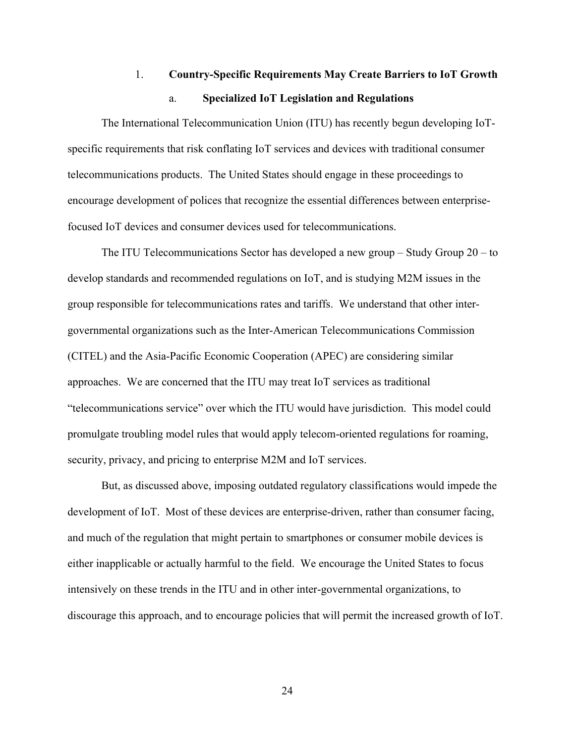# 1. **Country-Specific Requirements May Create Barriers to IoT Growth** a. **Specialized IoT Legislation and Regulations**

The International Telecommunication Union (ITU) has recently begun developing IoTspecific requirements that risk conflating IoT services and devices with traditional consumer telecommunications products. The United States should engage in these proceedings to encourage development of polices that recognize the essential differences between enterprisefocused IoT devices and consumer devices used for telecommunications.

The ITU Telecommunications Sector has developed a new group – Study Group 20 – to develop standards and recommended regulations on IoT, and is studying M2M issues in the group responsible for telecommunications rates and tariffs. We understand that other intergovernmental organizations such as the Inter-American Telecommunications Commission (CITEL) and the Asia-Pacific Economic Cooperation (APEC) are considering similar approaches. We are concerned that the ITU may treat IoT services as traditional "telecommunications service" over which the ITU would have jurisdiction. This model could promulgate troubling model rules that would apply telecom-oriented regulations for roaming, security, privacy, and pricing to enterprise M2M and IoT services.

But, as discussed above, imposing outdated regulatory classifications would impede the development of IoT. Most of these devices are enterprise-driven, rather than consumer facing, and much of the regulation that might pertain to smartphones or consumer mobile devices is either inapplicable or actually harmful to the field. We encourage the United States to focus intensively on these trends in the ITU and in other inter-governmental organizations, to discourage this approach, and to encourage policies that will permit the increased growth of IoT.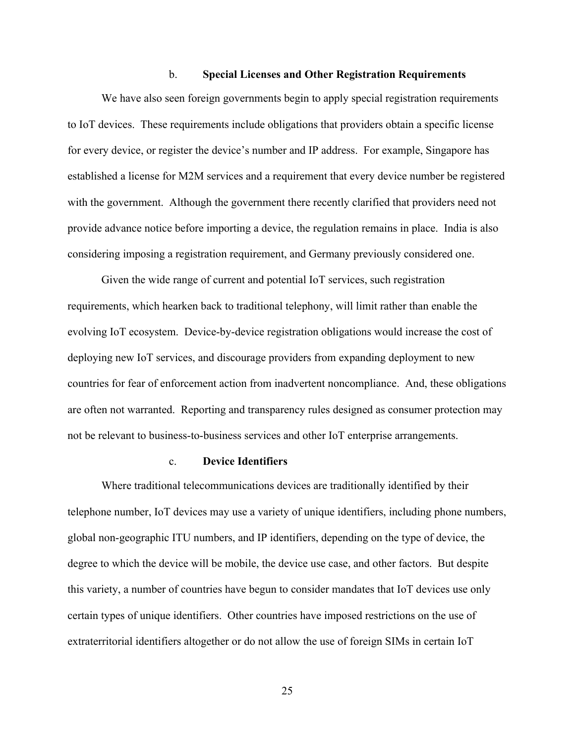#### b. **Special Licenses and Other Registration Requirements**

We have also seen foreign governments begin to apply special registration requirements to IoT devices. These requirements include obligations that providers obtain a specific license for every device, or register the device's number and IP address. For example, Singapore has established a license for M2M services and a requirement that every device number be registered with the government. Although the government there recently clarified that providers need not provide advance notice before importing a device, the regulation remains in place. India is also considering imposing a registration requirement, and Germany previously considered one.

Given the wide range of current and potential IoT services, such registration requirements, which hearken back to traditional telephony, will limit rather than enable the evolving IoT ecosystem. Device-by-device registration obligations would increase the cost of deploying new IoT services, and discourage providers from expanding deployment to new countries for fear of enforcement action from inadvertent noncompliance. And, these obligations are often not warranted. Reporting and transparency rules designed as consumer protection may not be relevant to business-to-business services and other IoT enterprise arrangements.

#### c. **Device Identifiers**

Where traditional telecommunications devices are traditionally identified by their telephone number, IoT devices may use a variety of unique identifiers, including phone numbers, global non-geographic ITU numbers, and IP identifiers, depending on the type of device, the degree to which the device will be mobile, the device use case, and other factors. But despite this variety, a number of countries have begun to consider mandates that IoT devices use only certain types of unique identifiers. Other countries have imposed restrictions on the use of extraterritorial identifiers altogether or do not allow the use of foreign SIMs in certain IoT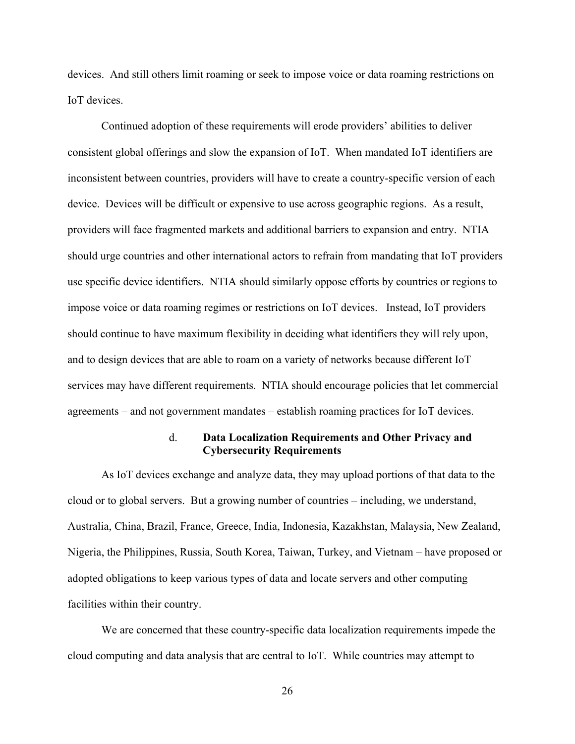devices. And still others limit roaming or seek to impose voice or data roaming restrictions on IoT devices.

Continued adoption of these requirements will erode providers' abilities to deliver consistent global offerings and slow the expansion of IoT. When mandated IoT identifiers are inconsistent between countries, providers will have to create a country-specific version of each device. Devices will be difficult or expensive to use across geographic regions. As a result, providers will face fragmented markets and additional barriers to expansion and entry. NTIA should urge countries and other international actors to refrain from mandating that IoT providers use specific device identifiers. NTIA should similarly oppose efforts by countries or regions to impose voice or data roaming regimes or restrictions on IoT devices. Instead, IoT providers should continue to have maximum flexibility in deciding what identifiers they will rely upon, and to design devices that are able to roam on a variety of networks because different IoT services may have different requirements. NTIA should encourage policies that let commercial agreements – and not government mandates – establish roaming practices for IoT devices.

#### d. **Data Localization Requirements and Other Privacy and Cybersecurity Requirements**

As IoT devices exchange and analyze data, they may upload portions of that data to the cloud or to global servers. But a growing number of countries – including, we understand, Australia, China, Brazil, France, Greece, India, Indonesia, Kazakhstan, Malaysia, New Zealand, Nigeria, the Philippines, Russia, South Korea, Taiwan, Turkey, and Vietnam – have proposed or adopted obligations to keep various types of data and locate servers and other computing facilities within their country.

We are concerned that these country-specific data localization requirements impede the cloud computing and data analysis that are central to IoT. While countries may attempt to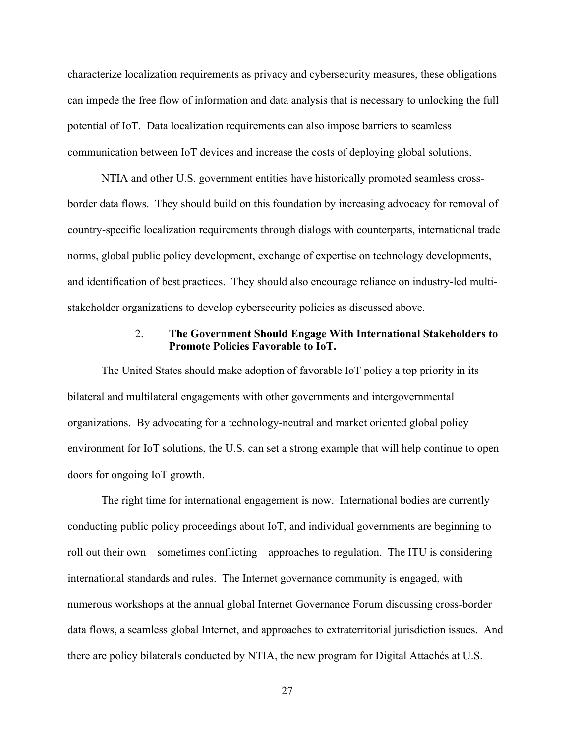characterize localization requirements as privacy and cybersecurity measures, these obligations can impede the free flow of information and data analysis that is necessary to unlocking the full potential of IoT. Data localization requirements can also impose barriers to seamless communication between IoT devices and increase the costs of deploying global solutions.

NTIA and other U.S. government entities have historically promoted seamless crossborder data flows. They should build on this foundation by increasing advocacy for removal of country-specific localization requirements through dialogs with counterparts, international trade norms, global public policy development, exchange of expertise on technology developments, and identification of best practices. They should also encourage reliance on industry-led multistakeholder organizations to develop cybersecurity policies as discussed above.

#### 2. **The Government Should Engage With International Stakeholders to Promote Policies Favorable to IoT.**

The United States should make adoption of favorable IoT policy a top priority in its bilateral and multilateral engagements with other governments and intergovernmental organizations. By advocating for a technology-neutral and market oriented global policy environment for IoT solutions, the U.S. can set a strong example that will help continue to open doors for ongoing IoT growth.

The right time for international engagement is now. International bodies are currently conducting public policy proceedings about IoT, and individual governments are beginning to roll out their own – sometimes conflicting – approaches to regulation. The ITU is considering international standards and rules. The Internet governance community is engaged, with numerous workshops at the annual global Internet Governance Forum discussing cross-border data flows, a seamless global Internet, and approaches to extraterritorial jurisdiction issues. And there are policy bilaterals conducted by NTIA, the new program for Digital Attachés at U.S.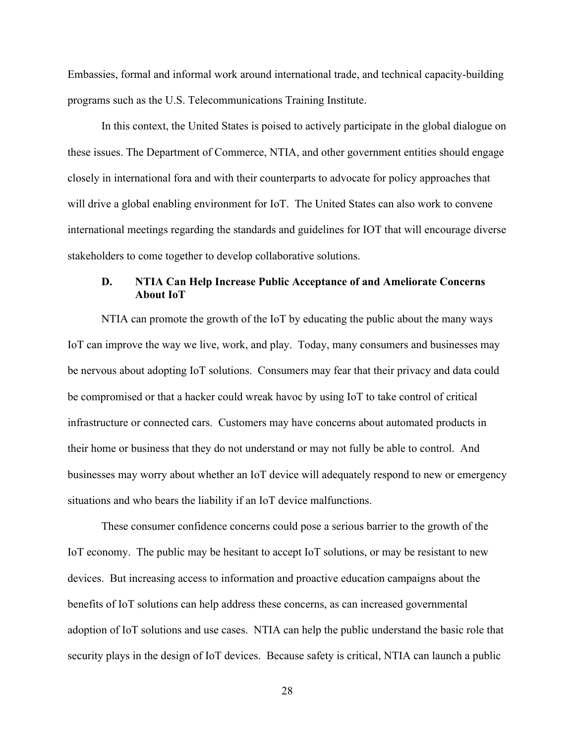Embassies, formal and informal work around international trade, and technical capacity-building programs such as the U.S. Telecommunications Training Institute.

In this context, the United States is poised to actively participate in the global dialogue on these issues. The Department of Commerce, NTIA, and other government entities should engage closely in international fora and with their counterparts to advocate for policy approaches that will drive a global enabling environment for IoT. The United States can also work to convene international meetings regarding the standards and guidelines for IOT that will encourage diverse stakeholders to come together to develop collaborative solutions.

### **D. NTIA Can Help Increase Public Acceptance of and Ameliorate Concerns About IoT**

NTIA can promote the growth of the IoT by educating the public about the many ways IoT can improve the way we live, work, and play. Today, many consumers and businesses may be nervous about adopting IoT solutions. Consumers may fear that their privacy and data could be compromised or that a hacker could wreak havoc by using IoT to take control of critical infrastructure or connected cars. Customers may have concerns about automated products in their home or business that they do not understand or may not fully be able to control. And businesses may worry about whether an IoT device will adequately respond to new or emergency situations and who bears the liability if an IoT device malfunctions.

These consumer confidence concerns could pose a serious barrier to the growth of the IoT economy. The public may be hesitant to accept IoT solutions, or may be resistant to new devices. But increasing access to information and proactive education campaigns about the benefits of IoT solutions can help address these concerns, as can increased governmental adoption of IoT solutions and use cases. NTIA can help the public understand the basic role that security plays in the design of IoT devices. Because safety is critical, NTIA can launch a public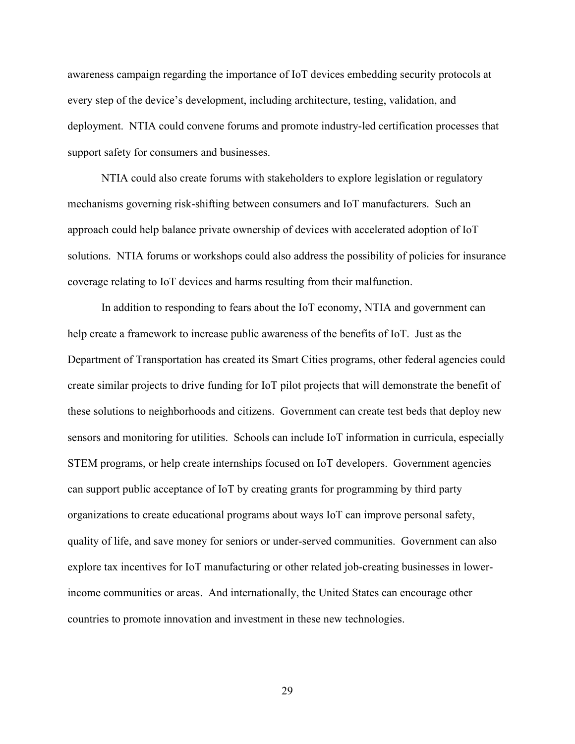awareness campaign regarding the importance of IoT devices embedding security protocols at every step of the device's development, including architecture, testing, validation, and deployment. NTIA could convene forums and promote industry-led certification processes that support safety for consumers and businesses.

NTIA could also create forums with stakeholders to explore legislation or regulatory mechanisms governing risk-shifting between consumers and IoT manufacturers. Such an approach could help balance private ownership of devices with accelerated adoption of IoT solutions. NTIA forums or workshops could also address the possibility of policies for insurance coverage relating to IoT devices and harms resulting from their malfunction.

In addition to responding to fears about the IoT economy, NTIA and government can help create a framework to increase public awareness of the benefits of IoT. Just as the Department of Transportation has created its Smart Cities programs, other federal agencies could create similar projects to drive funding for IoT pilot projects that will demonstrate the benefit of these solutions to neighborhoods and citizens. Government can create test beds that deploy new sensors and monitoring for utilities. Schools can include IoT information in curricula, especially STEM programs, or help create internships focused on IoT developers. Government agencies can support public acceptance of IoT by creating grants for programming by third party organizations to create educational programs about ways IoT can improve personal safety, quality of life, and save money for seniors or under-served communities. Government can also explore tax incentives for IoT manufacturing or other related job-creating businesses in lowerincome communities or areas. And internationally, the United States can encourage other countries to promote innovation and investment in these new technologies.